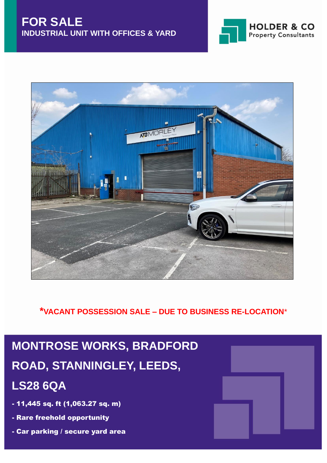



**\*VACANT POSSESSION SALE – DUE TO BUSINESS RE-LOCATION**\*

# **MONTROSE WORKS, BRADFORD ROAD, STANNINGLEY, LEEDS, LS28 6QA**

- 11,445 sq. ft (1,063.27 sq. m)
- Rare freehold opportunity
- Car parking / secure yard area